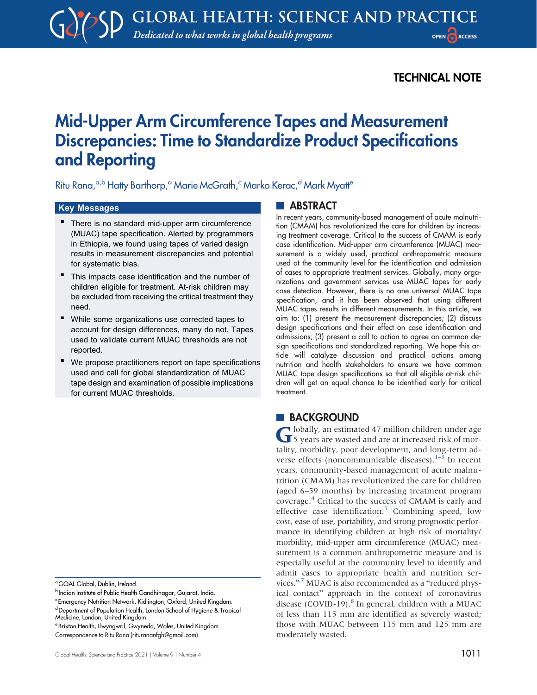# TECHNICAL NOTE

# Mid-Upper Arm Circumference Tapes and Measurement Discrepancies: Time to Standardize Product Specifications and Reporting

Ritu Rana,<sup>a,b</sup> Hatty Barthorp,<sup>a</sup> Marie McGrath,<sup>c</sup> Marko Kerac,<sup>d</sup> Mark Myatt<sup>e</sup>

# Key Messages

- There is no standard mid-upper arm circumference (MUAC) tape specification. Alerted by programmers in Ethiopia, we found using tapes of varied design results in measurement discrepancies and potential for systematic bias.
- This impacts case identification and the number of children eligible for treatment. At-risk children may be excluded from receiving the critical treatment they need.
- $\blacksquare$  While some organizations use corrected tapes to account for design differences, many do not. Tapes used to validate current MUAC thresholds are not reported.
- We propose practitioners report on tape specifications used and call for global standardization of MUAC tape design and examination of possible implications for current MUAC thresholds.

# **ABSTRACT**

In recent years, community-based management of acute malnutrition (CMAM) has revolutionized the care for children by increasing treatment coverage. Critical to the success of CMAM is early case identification. Mid-upper arm circumference (MUAC) measurement is a widely used, practical anthropometric measure used at the community level for the identification and admission of cases to appropriate treatment services. Globally, many organizations and government services use MUAC tapes for early case detection. However, there is no one universal MUAC tape specification, and it has been observed that using different MUAC tapes results in different measurements. In this article, we aim to: (1) present the measurement discrepancies; (2) discuss design specifications and their effect on case identification and admissions; (3) present a call to action to agree on common design specifications and standardized reporting. We hope this article will catalyze discussion and practical actions among nutrition and health stakeholders to ensure we have common MUAC tape design specifications so that all eligible at-risk children will get an equal chance to be identified early for critical treatment.

# **BACKGROUND**

Globally, an estimated 47 million children under age 5 years are wasted and are at increased risk of mortality, morbidity, poor development, and long-term ad-verse effects (noncommunicable diseases).<sup>[1](#page-3-0)-[3](#page-3-1)</sup> In recent years, community-based management of acute malnutrition (CMAM) has revolutionized the care for children (aged 6–59 months) by increasing treatment program coverage.[4](#page-3-2) Critical to the success of CMAM is early and effective case identification.<sup>[5](#page-3-3)</sup> Combining speed, low cost, ease of use, portability, and strong prognostic performance in identifying children at high risk of mortality/ morbidity, mid-upper arm circumference (MUAC) measurement is a common anthropometric measure and is especially useful at the community level to identify and admit cases to appropriate health and nutrition ser-vices.<sup>6[,7](#page-3-5)</sup> MUAC is also recommended as a "reduced physical contact" approach in the context of coronavirus disease (COVID-19).<sup>8</sup> In general, children with a MUAC of less than 115 mm are identified as severely wasted; those with MUAC between 115 mm and 125 mm are moderately wasted.

<sup>&</sup>lt;sup>a</sup>GOAL Global, Dublin, Ireland.

**b** Indian Institute of Public Health Gandhinagar, Gujarat, India.

<sup>&</sup>lt;sup>c</sup> Emergency Nutrition Network, Kidlington, Oxford, United Kingdom.

d Department of Population Health, London School of Hygiene & Tropical Medicine, London, United Kingdom.

<sup>e</sup> Brixton Health, Llwyngwril, Gwynedd, Wales, United Kingdom. Correspondence to Ritu Rana ([riturananfgh@gmail.com\)](mailto:riturananfgh@gmail.com).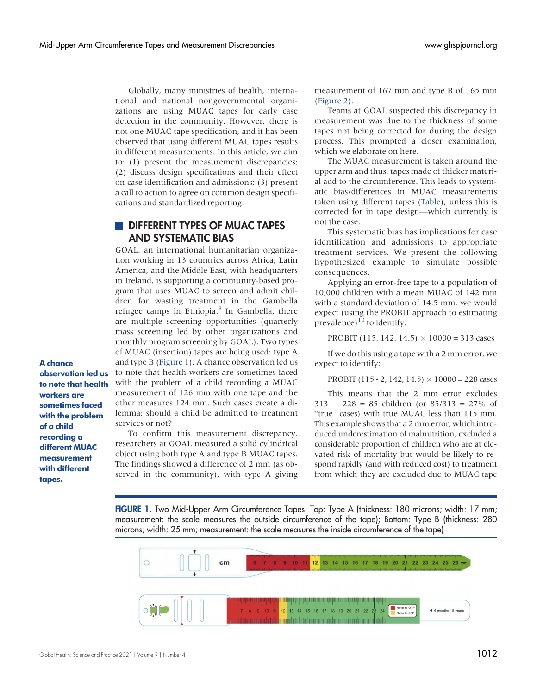Globally, many ministries of health, international and national nongovernmental organizations are using MUAC tapes for early case detection in the community. However, there is not one MUAC tape specification, and it has been observed that using different MUAC tapes results in different measurements. In this article, we aim to: (1) present the measurement discrepancies; (2) discuss design specifications and their effect on case identification and admissions; (3) present a call to action to agree on common design specifications and standardized reporting.

# **DIFFERENT TYPES OF MUAC TAPES** AND SYSTEMATIC BIAS

GOAL, an international humanitarian organization working in 13 countries across Africa, Latin America, and the Middle East, with headquarters in Ireland, is supporting a community-based program that uses MUAC to screen and admit children for wasting treatment in the Gambella refugee camps in Ethiopia.<sup>[9](#page-3-7)</sup> In Gambella, there are multiple screening opportunities (quarterly mass screening led by other organizations and monthly program screening by GOAL). Two types of MUAC (insertion) tapes are being used: type A and type B (Figure 1). A chance observation led us to note that health workers are sometimes faced with the problem of a child recording a MUAC measurement of 126 mm with one tape and the other measures 124 mm. Such cases create a dilemma: should a child be admitted to treatment services or not?

To confirm this measurement discrepancy, researchers at GOAL measured a solid cylindrical object using both type A and type B MUAC tapes. The findings showed a difference of 2 mm (as observed in the community), with type A giving measurement of 167 mm and type B of 165 mm [\(Figure 2\)](#page-2-0).

Teams at GOAL suspected this discrepancy in measurement was due to the thickness of some tapes not being corrected for during the design process. This prompted a closer examination, which we elaborate on here.

The MUAC measurement is taken around the upper arm and thus, tapes made of thicker material add to the circumference. This leads to systematic bias/differences in MUAC measurements taken using different tapes ([Table\)](#page-2-1), unless this is corrected for in tape design—which currently is not the case.

This systematic bias has implications for case identification and admissions to appropriate treatment services. We present the following hypothesized example to simulate possible consequences.

Applying an error-free tape to a population of 10,000 children with a mean MUAC of 142 mm with a standard deviation of 14.5 mm, we would expect (using the PROBIT approach to estimating prevalence) $^{10}$  to identify:

PROBIT (115, 142, 14.5)  $\times$  10000 = 313 cases

If we do this using a tape with a 2 mm error, we expect to identify:

PROBIT (115 - 2, 142, 14.5)  $\times$  10000 = 228 cases

This means that the 2 mm error excludes  $313 - 228 = 85$  children (or  $85/313 = 27\%$  of "true" cases) with true MUAC less than 115 mm. This example shows that a 2 mm error, which introduced underestimation of malnutrition, excluded a considerable proportion of children who are at elevated risk of mortality but would be likely to respond rapidly (and with reduced cost) to treatment from which they are excluded due to MUAC tape

FIGURE 1. Two Mid-Upper Arm Circumference Tapes. Top: Type A (thickness: 180 microns; width: 17 mm; measurement: the scale measures the outside circumference of the tape); Bottom: Type B (thickness: 280 microns; width: 25 mm; measurement: the scale measures the inside circumference of the tape)



observation led us to note that health workers are sometimes faced with the problem of a child recording a different MUAC measurement with different tapes.

A chance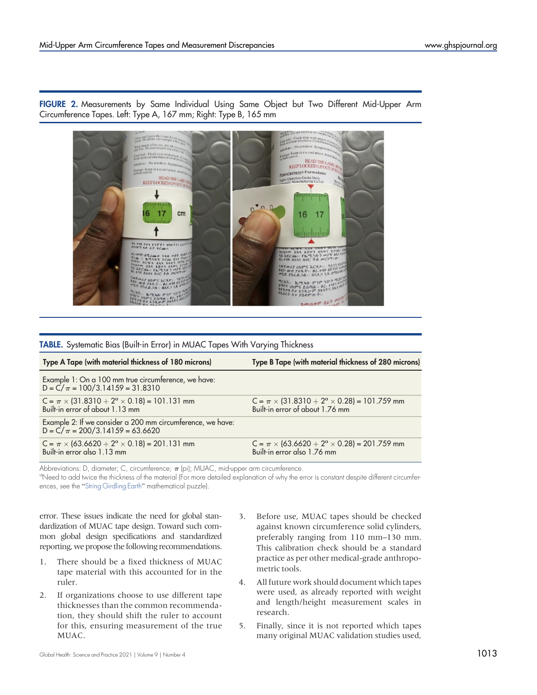<span id="page-2-0"></span>FIGURE 2. Measurements by Same Individual Using Same Object but Two Different Mid-Upper Arm Circumference Tapes. Left: Type A, 167 mm; Right: Type B, 165 mm



<span id="page-2-1"></span>TABLE. Systematic Bias (Built-in Error) in MUAC Tapes With Varying Thickness

| Type A Tape (with material thickness of 180 microns)                                              | Type B Tape (with material thickness of 280 microns)                                           |
|---------------------------------------------------------------------------------------------------|------------------------------------------------------------------------------------------------|
| Example 1: On a 100 mm true circumference, we have:<br>$D = C/\pi = 100/3.14159 = 31.8310$        |                                                                                                |
| C = $\pi$ × (31.8310 + 2 <sup>a</sup> × 0.18) = 101.131 mm<br>Built-in error of about 1.13 mm     | C = $\pi$ × (31.8310 + 2 <sup>a</sup> × 0.28) = 101.759 mm<br>Built-in error of about 1.76 mm  |
| Example 2: If we consider a 200 mm circumference, we have:<br>$D = C/\pi = 200/3.14159 = 63.6620$ |                                                                                                |
| $C = \pi \times (63.6620 + 2^{\circ} \times 0.18) = 201.131$ mm<br>Built-in error also 1.13 mm    | $C = \pi \times (63.6620 + 2^{\circ} \times 0.28) = 201.759$ mm<br>Built-in error also 1.76 mm |

Abbreviations: D, diameter; C, circumference;  $\pi$  (pi); MUAC, mid-upper arm circumference.

<sup>a</sup>Need to add twice the thickness of the material (For more detailed explanation of why the error is constant despite different circumferences, see the "[String Girdling Earth](https://en.wikipedia.org/wiki/String_girdling_Earth)" mathematical puzzle).

error. These issues indicate the need for global standardization of MUAC tape design. Toward such common global design specifications and standardized reporting, we propose the following recommendations.

- 1. There should be a fixed thickness of MUAC tape material with this accounted for in the ruler.
- 2. If organizations choose to use different tape thicknesses than the common recommendation, they should shift the ruler to account for this, ensuring measurement of the true MUAC.
- 3. Before use, MUAC tapes should be checked against known circumference solid cylinders, preferably ranging from 110 mm–130 mm. This calibration check should be a standard practice as per other medical-grade anthropometric tools.
- 4. All future work should document which tapes were used, as already reported with weight and length/height measurement scales in research.
- 5. Finally, since it is not reported which tapes many original MUAC validation studies used,